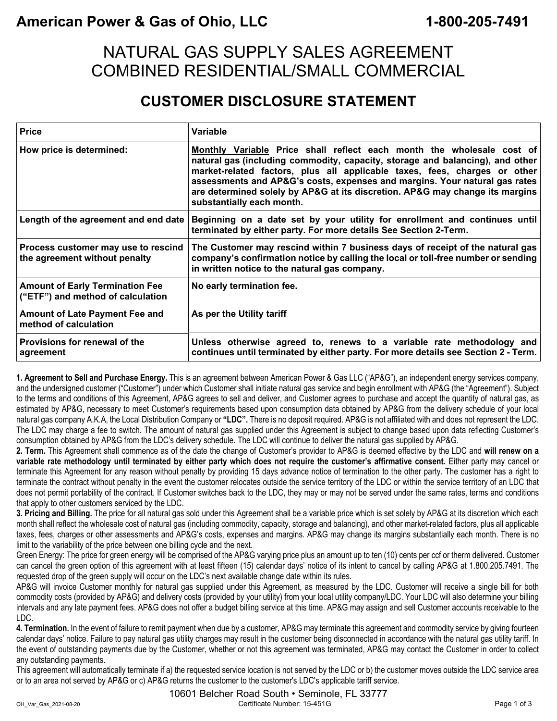### **American Power & Gas of Ohio, LLC 1-800-205-7491**

### NATURAL GAS SUPPLY SALES AGREEMENT COMBINED RESIDENTIAL/SMALL COMMERCIAL

#### **CUSTOMER DISCLOSURE STATEMENT**

| <b>Price</b>                                                                | Variable                                                                                                                                                                                                                                                                                                                                                                                                                       |
|-----------------------------------------------------------------------------|--------------------------------------------------------------------------------------------------------------------------------------------------------------------------------------------------------------------------------------------------------------------------------------------------------------------------------------------------------------------------------------------------------------------------------|
| How price is determined:                                                    | Monthly Variable Price shall reflect each month the wholesale cost of<br>natural gas (including commodity, capacity, storage and balancing), and other<br>market-related factors, plus all applicable taxes, fees, charges or other<br>assessments and AP&G's costs, expenses and margins. Your natural gas rates<br>are determined solely by AP&G at its discretion. AP&G may change its margins<br>substantially each month. |
| Length of the agreement and end date                                        | Beginning on a date set by your utility for enrollment and continues until<br>terminated by either party. For more details See Section 2-Term.                                                                                                                                                                                                                                                                                 |
| Process customer may use to rescind<br>the agreement without penalty        | The Customer may rescind within 7 business days of receipt of the natural gas<br>company's confirmation notice by calling the local or toll-free number or sending<br>in written notice to the natural gas company.                                                                                                                                                                                                            |
| <b>Amount of Early Termination Fee</b><br>("ETF") and method of calculation | No early termination fee.                                                                                                                                                                                                                                                                                                                                                                                                      |
| <b>Amount of Late Payment Fee and</b><br>method of calculation              | As per the Utility tariff                                                                                                                                                                                                                                                                                                                                                                                                      |
| Provisions for renewal of the<br>agreement                                  | Unless otherwise agreed to, renews to a variable rate methodology and<br>continues until terminated by either party. For more details see Section 2 - Term.                                                                                                                                                                                                                                                                    |

**1. Agreement to Sell and Purchase Energy.** This is an agreement between American Power & Gas LLC ("AP&G"), an independent energy services company, and the undersigned customer ("Customer") under which Customer shall initiate natural gas service and begin enrollment with AP&G (the "Agreement"). Subject to the terms and conditions of this Agreement, AP&G agrees to sell and deliver, and Customer agrees to purchase and accept the quantity of natural gas, as estimated by AP&G, necessary to meet Customer's requirements based upon consumption data obtained by AP&G from the delivery schedule of your local natural gas company A.K.A, the Local Distribution Company or **"LDC".** There is no deposit required. AP&G is not affiliated with and does not represent the LDC. The LDC may charge a fee to switch. The amount of natural gas supplied under this Agreement is subject to change based upon data reflecting Customer's consumption obtained by AP&G from the LDC's delivery schedule. The LDC will continue to deliver the natural gas supplied by AP&G.

**2. Term.** This Agreement shall commence as of the date the change of Customer's provider to AP&G is deemed effective by the LDC and **will renew on a variable rate methodology until terminated by either party which does not require the customer's affirmative consent.** Either party may cancel or terminate this Agreement for any reason without penalty by providing 15 days advance notice of termination to the other party. The customer has a right to terminate the contract without penalty in the event the customer relocates outside the service territory of the LDC or within the service territory of an LDC that does not permit portability of the contract. If Customer switches back to the LDC, they may or may not be served under the same rates, terms and conditions that apply to other customers serviced by the LDC.

**3. Pricing and Billing.** The price for all natural gas sold under this Agreement shall be a variable price which is set solely by AP&G at its discretion which each month shall reflect the wholesale cost of natural gas (including commodity, capacity, storage and balancing), and other market-related factors, plus all applicable taxes, fees, charges or other assessments and AP&G's costs, expenses and margins. AP&G may change its margins substantially each month. There is no limit to the variability of the price between one billing cycle and the next.

Green Energy: The price for green energy will be comprised of the AP&G varying price plus an amount up to ten (10) cents per ccf or therm delivered. Customer can cancel the green option of this agreement with at least fifteen (15) calendar days' notice of its intent to cancel by calling AP&G at 1.800.205.7491. The requested drop of the green supply will occur on the LDC's next available change date within its rules.

AP&G will invoice Customer monthly for natural gas supplied under this Agreement, as measured by the LDC. Customer will receive a single bill for both commodity costs (provided by AP&G) and delivery costs (provided by your utility) from your local utility company/LDC. Your LDC will also determine your billing intervals and any late payment fees. AP&G does not offer a budget billing service at this time. AP&G may assign and sell Customer accounts receivable to the LDC.

**4. Termination.** In the event of failure to remit payment when due by a customer, AP&G may terminate this agreement and commodity service by giving fourteen calendar days' notice. Failure to pay natural gas utility charges may result in the customer being disconnected in accordance with the natural gas utility tariff. In the event of outstanding payments due by the Customer, whether or not this agreement was terminated, AP&G may contact the Customer in order to collect any outstanding payments.

This agreement will automatically terminate if a) the requested service location is not served by the LDC or b) the customer moves outside the LDC service area or to an area not served by AP&G or c) AP&G returns the customer to the customer's LDC's applicable tariff service.

10601 Belcher Road South • Seminole, FL 33777 OH\_Var\_Gas\_2021-08-20 Certificate Number: 15-451G Page 1 of 3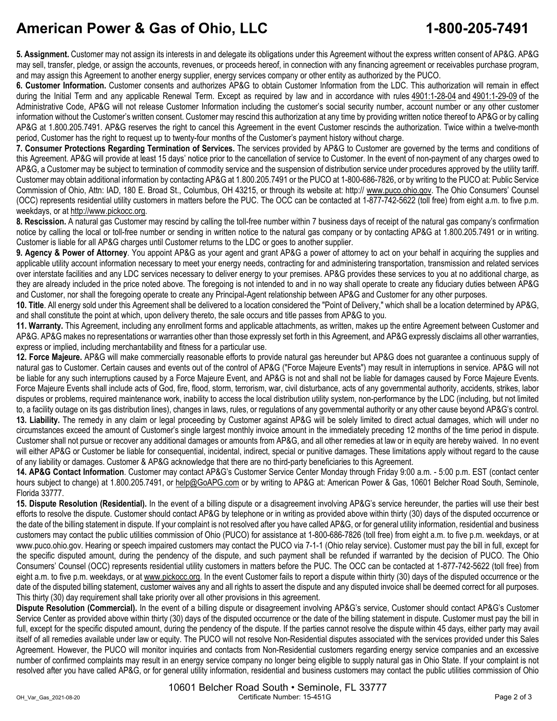## **American Power & Gas of Ohio, LLC 1-800-205-7491**

**5. Assignment.** Customer may not assign its interests in and delegate its obligations under this Agreement without the express written consent of AP&G. AP&G may sell, transfer, pledge, or assign the accounts, revenues, or proceeds hereof, in connection with any financing agreement or receivables purchase program, and may assign this Agreement to another energy supplier, energy services company or other entity as authorized by the PUCO.

**6. Customer Information.** Customer consents and authorizes AP&G to obtain Customer Information from the LDC. This authorization will remain in effect during the Initial Term and any applicable Renewal Term. Except as required by law and in accordance with rules 4901:1-28-04 and 4901:1-29-09 of the Administrative Code, AP&G will not release Customer Information including the customer's social security number, account number or any other customer information without the Customer's written consent. Customer may rescind this authorization at any time by providing written notice thereof to AP&G or by calling AP&G at 1.800.205.7491. AP&G reserves the right to cancel this Agreement in the event Customer rescinds the authorization. Twice within a twelve-month period, Customer has the right to request up to twenty-four months of the Customer's payment history without charge.

**7. Consumer Protections Regarding Termination of Services.** The services provided by AP&G to Customer are governed by the terms and conditions of this Agreement. AP&G will provide at least 15 days' notice prior to the cancellation of service to Customer. In the event of non-payment of any charges owed to AP&G, a Customer may be subject to termination of commodity service and the suspension of distribution service under procedures approved by the utility tariff. Customer may obtain additional information by contacting AP&G at 1.800.205.7491 or the PUCO at 1-800-686-7826, or by writing to the PUCO at: Public Service Commission of Ohio, Attn: IAD, 180 E. Broad St., Columbus, OH 43215, or through its website at: http:// www.puco.ohio.gov. The Ohio Consumers' Counsel (OCC) represents residential utility customers in matters before the PUC. The OCC can be contacted at 1-877-742-5622 (toll free) from eight a.m. to five p.m. weekdays, or at http://www.pickocc.org.

**8. Rescission.** A natural gas Customer may rescind by calling the toll-free number within 7 business days of receipt of the natural gas company's confirmation notice by calling the local or toll-free number or sending in written notice to the natural gas company or by contacting AP&G at 1.800.205.7491 or in writing. Customer is liable for all AP&G charges until Customer returns to the LDC or goes to another supplier.

**9. Agency & Power of Attorney**. You appoint AP&G as your agent and grant AP&G a power of attorney to act on your behalf in acquiring the supplies and applicable utility account information necessary to meet your energy needs, contracting for and administering transportation, transmission and related services over interstate facilities and any LDC services necessary to deliver energy to your premises. AP&G provides these services to you at no additional charge, as they are already included in the price noted above. The foregoing is not intended to and in no way shall operate to create any fiduciary duties between AP&G and Customer, nor shall the foregoing operate to create any Principal-Agent relationship between AP&G and Customer for any other purposes.

**10. Title**. All energy sold under this Agreement shall be delivered to a location considered the "Point of Delivery," which shall be a location determined by AP&G, and shall constitute the point at which, upon delivery thereto, the sale occurs and title passes from AP&G to you.

**11. Warranty.** This Agreement, including any enrollment forms and applicable attachments, as written, makes up the entire Agreement between Customer and AP&G. AP&G makes no representations or warranties other than those expressly set forth in this Agreement, and AP&G expressly disclaims all other warranties, express or implied, including merchantability and fitness for a particular use.

**12. Force Majeure.** AP&G will make commercially reasonable efforts to provide natural gas hereunder but AP&G does not guarantee a continuous supply of natural gas to Customer. Certain causes and events out of the control of AP&G ("Force Majeure Events") may result in interruptions in service. AP&G will not be liable for any such interruptions caused by a Force Majeure Event, and AP&G is not and shall not be liable for damages caused by Force Majeure Events. Force Majeure Events shall include acts of God, fire, flood, storm, terrorism, war, civil disturbance, acts of any governmental authority, accidents, strikes, labor disputes or problems, required maintenance work, inability to access the local distribution utility system, non-performance by the LDC (including, but not limited to, a facility outage on its gas distribution lines), changes in laws, rules, or regulations of any governmental authority or any other cause beyond AP&G's control. **13. Liability.** The remedy in any claim or legal proceeding by Customer against AP&G will be solely limited to direct actual damages, which will under no circumstances exceed the amount of Customer's single largest monthly invoice amount in the immediately preceding 12 months of the time period in dispute. Customer shall not pursue or recover any additional damages or amounts from AP&G, and all other remedies at law or in equity are hereby waived. In no event will either AP&G or Customer be liable for consequential, incidental, indirect, special or punitive damages. These limitations apply without regard to the cause of any liability or damages. Customer & AP&G acknowledge that there are no third-party beneficiaries to this Agreement.

**14. AP&G Contact Information**. Customer may contact AP&G's Customer Service Center Monday through Friday 9:00 a.m. - 5:00 p.m. EST (contact center hours subject to change) at 1.800.205.7491, or help@GoAPG.com or by writing to AP&G at: American Power & Gas, 10601 Belcher Road South, Seminole, Florida 33777.

**15. Dispute Resolution (Residential).** In the event of a billing dispute or a disagreement involving AP&G's service hereunder, the parties will use their best efforts to resolve the dispute. Customer should contact AP&G by telephone or in writing as provided above within thirty (30) days of the disputed occurrence or the date of the billing statement in dispute. If your complaint is not resolved after you have called AP&G, or for general utility information, residential and business customers may contact the public utilities commission of Ohio (PUCO) for assistance at 1-800-686-7826 (toll free) from eight a.m. to five p.m. weekdays, or at www.puco.ohio.gov. Hearing or speech impaired customers may contact the PUCO via 7-1-1 (Ohio relay service). Customer must pay the bill in full, except for the specific disputed amount, during the pendency of the dispute, and such payment shall be refunded if warranted by the decision of PUCO. The Ohio Consumers' Counsel (OCC) represents residential utility customers in matters before the PUC. The OCC can be contacted at 1-877-742-5622 (toll free) from eight a.m. to five p.m. weekdays, or at www.pickocc.org. In the event Customer fails to report a dispute within thirty (30) days of the disputed occurrence or the date of the disputed billing statement, customer waives any and all rights to assert the dispute and any disputed invoice shall be deemed correct for all purposes. This thirty (30) day requirement shall take priority over all other provisions in this agreement.

**Dispute Resolution (Commercial).** In the event of a billing dispute or disagreement involving AP&G's service, Customer should contact AP&G's Customer Service Center as provided above within thirty (30) days of the disputed occurrence or the date of the billing statement in dispute. Customer must pay the bill in full, except for the specific disputed amount, during the pendency of the dispute. If the parties cannot resolve the dispute within 45 days, either party may avail itself of all remedies available under law or equity. The PUCO will not resolve Non-Residential disputes associated with the services provided under this Sales Agreement. However, the PUCO will monitor inquiries and contacts from Non-Residential customers regarding energy service companies and an excessive number of confirmed complaints may result in an energy service company no longer being eligible to supply natural gas in Ohio State. If your complaint is not resolved after you have called AP&G, or for general utility information, residential and business customers may contact the public utilities commission of Ohio